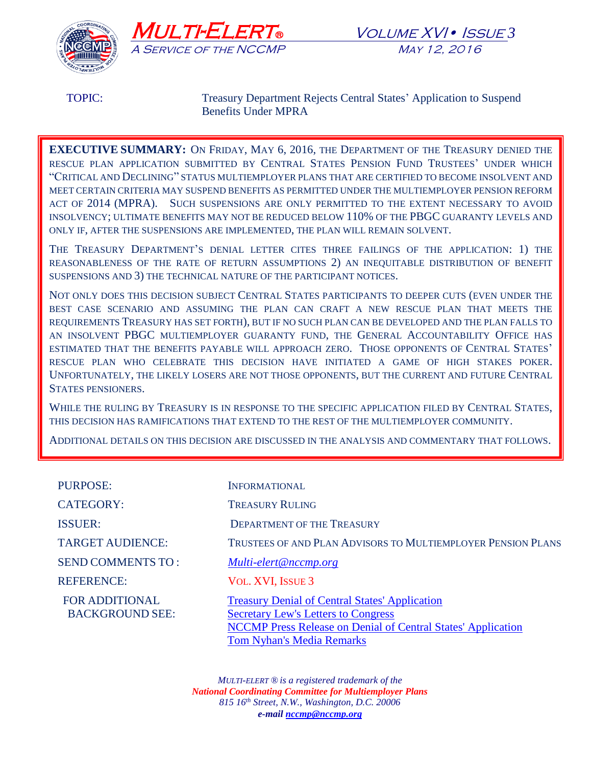

TOPIC: Treasury Department Rejects Central States' Application to Suspend Benefits Under MPRA

**EXECUTIVE SUMMARY:** ON FRIDAY, MAY 6, 2016, THE DEPARTMENT OF THE TREASURY DENIED THE RESCUE PLAN APPLICATION SUBMITTED BY CENTRAL STATES PENSION FUND TRUSTEES' UNDER WHICH "CRITICAL AND DECLINING" STATUS MULTIEMPLOYER PLANS THAT ARE CERTIFIED TO BECOME INSOLVENT AND MEET CERTAIN CRITERIA MAY SUSPEND BENEFITS AS PERMITTED UNDER THE MULTIEMPLOYER PENSION REFORM ACT OF 2014 (MPRA). SUCH SUSPENSIONS ARE ONLY PERMITTED TO THE EXTENT NECESSARY TO AVOID INSOLVENCY; ULTIMATE BENEFITS MAY NOT BE REDUCED BELOW 110% OF THE PBGC GUARANTY LEVELS AND ONLY IF, AFTER THE SUSPENSIONS ARE IMPLEMENTED, THE PLAN WILL REMAIN SOLVENT.

THE TREASURY DEPARTMENT'S DENIAL LETTER CITES THREE FAILINGS OF THE APPLICATION: 1) THE REASONABLENESS OF THE RATE OF RETURN ASSUMPTIONS 2) AN INEQUITABLE DISTRIBUTION OF BENEFIT SUSPENSIONS AND 3) THE TECHNICAL NATURE OF THE PARTICIPANT NOTICES.

NOT ONLY DOES THIS DECISION SUBJECT CENTRAL STATES PARTICIPANTS TO DEEPER CUTS (EVEN UNDER THE BEST CASE SCENARIO AND ASSUMING THE PLAN CAN CRAFT A NEW RESCUE PLAN THAT MEETS THE REQUIREMENTS TREASURY HAS SET FORTH), BUT IF NO SUCH PLAN CAN BE DEVELOPED AND THE PLAN FALLS TO AN INSOLVENT PBGC MULTIEMPLOYER GUARANTY FUND, THE GENERAL ACCOUNTABILITY OFFICE HAS ESTIMATED THAT THE BENEFITS PAYABLE WILL APPROACH ZERO. THOSE OPPONENTS OF CENTRAL STATES' RESCUE PLAN WHO CELEBRATE THIS DECISION HAVE INITIATED A GAME OF HIGH STAKES POKER. UNFORTUNATELY, THE LIKELY LOSERS ARE NOT THOSE OPPONENTS, BUT THE CURRENT AND FUTURE CENTRAL STATES PENSIONERS.

WHILE THE RULING BY TREASURY IS IN RESPONSE TO THE SPECIFIC APPLICATION FILED BY CENTRAL STATES, THIS DECISION HAS RAMIFICATIONS THAT EXTEND TO THE REST OF THE MULTIEMPLOYER COMMUNITY.

ADDITIONAL DETAILS ON THIS DECISION ARE DISCUSSED IN THE ANALYSIS AND COMMENTARY THAT FOLLOWS.

| <b>PURPOSE:</b>                                 | <b>INFORMATIONAL</b>                                                                                                                                                                                    |
|-------------------------------------------------|---------------------------------------------------------------------------------------------------------------------------------------------------------------------------------------------------------|
| <b>CATEGORY:</b>                                | <b>TREASURY RULING</b>                                                                                                                                                                                  |
| <b>ISSUER:</b>                                  | <b>DEPARTMENT OF THE TREASURY</b>                                                                                                                                                                       |
| <b>TARGET AUDIENCE:</b>                         | TRUSTEES OF AND PLAN ADVISORS TO MULTIEMPLOYER PENSION PLANS                                                                                                                                            |
| <b>SEND COMMENTS TO:</b>                        | Multi-elert@nccmp.org                                                                                                                                                                                   |
| <b>REFERENCE:</b>                               | VOL. XVI, ISSUE 3                                                                                                                                                                                       |
| <b>FOR ADDITIONAL</b><br><b>BACKGROUND SEE:</b> | <b>Treasury Denial of Central States' Application</b><br><b>Secretary Lew's Letters to Congress</b><br>NCCMP Press Release on Denial of Central States' Application<br><b>Tom Nyhan's Media Remarks</b> |

*MULTI-ELERT ® is a registered trademark of the National Coordinating Committee for Multiemployer Plans 815 16th Street, N.W., Washington, D.C. 20006 e-mail [nccmp@nccmp.org](mailto:nccmp@nccmp.org)*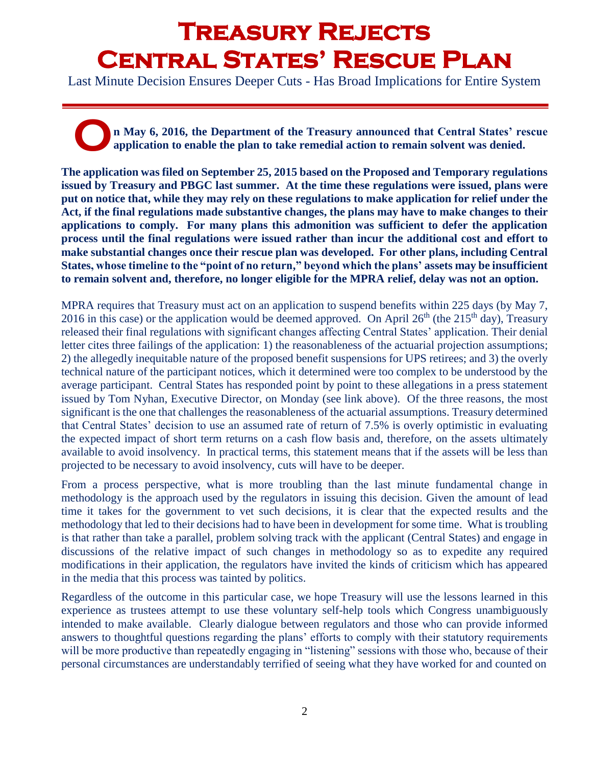## **Treasury Rejects Central States' Rescue Plan**

Last Minute Decision Ensures Deeper Cuts - Has Broad Implications for Entire System

**n May 6, 2016, the Department of the Treasury announced that Central States' rescue application to enable the plan to take remedial action to remain solvent was denied. O**

**The application was filed on September 25, 2015 based on the Proposed and Temporary regulations issued by Treasury and PBGC last summer. At the time these regulations were issued, plans were put on notice that, while they may rely on these regulations to make application for relief under the Act, if the final regulations made substantive changes, the plans may have to make changes to their applications to comply. For many plans this admonition was sufficient to defer the application process until the final regulations were issued rather than incur the additional cost and effort to make substantial changes once their rescue plan was developed. For other plans, including Central States, whose timeline to the "point of no return," beyond which the plans' assets may be insufficient to remain solvent and, therefore, no longer eligible for the MPRA relief, delay was not an option.**

MPRA requires that Treasury must act on an application to suspend benefits within 225 days (by May 7, 2016 in this case) or the application would be deemed approved. On April  $26<sup>th</sup>$  (the  $215<sup>th</sup>$  day), Treasury released their final regulations with significant changes affecting Central States' application. Their denial letter cites three failings of the application: 1) the reasonableness of the actuarial projection assumptions; 2) the allegedly inequitable nature of the proposed benefit suspensions for UPS retirees; and 3) the overly technical nature of the participant notices, which it determined were too complex to be understood by the average participant. Central States has responded point by point to these allegations in a press statement issued by Tom Nyhan, Executive Director, on Monday (see link above). Of the three reasons, the most significant is the one that challenges the reasonableness of the actuarial assumptions. Treasury determined that Central States' decision to use an assumed rate of return of 7.5% is overly optimistic in evaluating the expected impact of short term returns on a cash flow basis and, therefore, on the assets ultimately available to avoid insolvency. In practical terms, this statement means that if the assets will be less than projected to be necessary to avoid insolvency, cuts will have to be deeper.

From a process perspective, what is more troubling than the last minute fundamental change in methodology is the approach used by the regulators in issuing this decision. Given the amount of lead time it takes for the government to vet such decisions, it is clear that the expected results and the methodology that led to their decisions had to have been in development for some time. What is troubling is that rather than take a parallel, problem solving track with the applicant (Central States) and engage in discussions of the relative impact of such changes in methodology so as to expedite any required modifications in their application, the regulators have invited the kinds of criticism which has appeared in the media that this process was tainted by politics.

Regardless of the outcome in this particular case, we hope Treasury will use the lessons learned in this experience as trustees attempt to use these voluntary self-help tools which Congress unambiguously intended to make available. Clearly dialogue between regulators and those who can provide informed answers to thoughtful questions regarding the plans' efforts to comply with their statutory requirements will be more productive than repeatedly engaging in "listening" sessions with those who, because of their personal circumstances are understandably terrified of seeing what they have worked for and counted on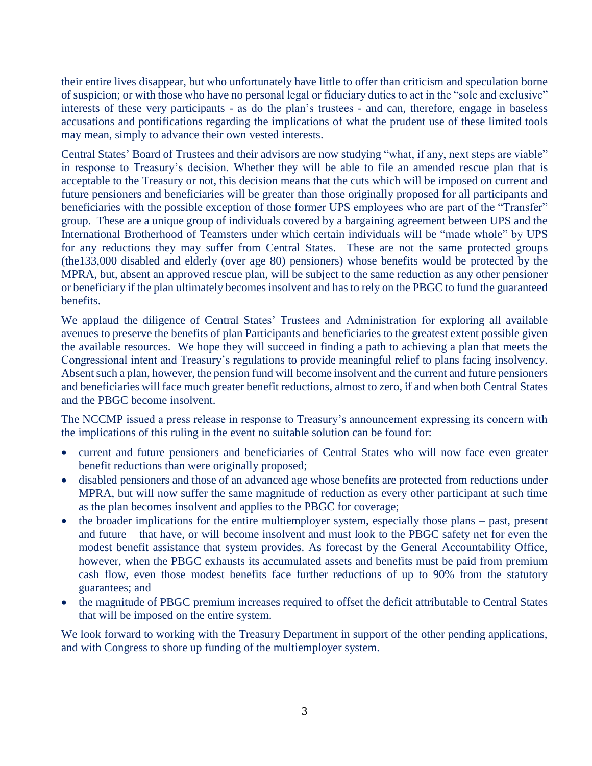their entire lives disappear, but who unfortunately have little to offer than criticism and speculation borne of suspicion; or with those who have no personal legal or fiduciary duties to act in the "sole and exclusive" interests of these very participants - as do the plan's trustees - and can, therefore, engage in baseless accusations and pontifications regarding the implications of what the prudent use of these limited tools may mean, simply to advance their own vested interests.

Central States' Board of Trustees and their advisors are now studying "what, if any, next steps are viable" in response to Treasury's decision. Whether they will be able to file an amended rescue plan that is acceptable to the Treasury or not, this decision means that the cuts which will be imposed on current and future pensioners and beneficiaries will be greater than those originally proposed for all participants and beneficiaries with the possible exception of those former UPS employees who are part of the "Transfer" group. These are a unique group of individuals covered by a bargaining agreement between UPS and the International Brotherhood of Teamsters under which certain individuals will be "made whole" by UPS for any reductions they may suffer from Central States. These are not the same protected groups (the133,000 disabled and elderly (over age 80) pensioners) whose benefits would be protected by the MPRA, but, absent an approved rescue plan, will be subject to the same reduction as any other pensioner or beneficiary if the plan ultimately becomes insolvent and has to rely on the PBGC to fund the guaranteed benefits.

We applaud the diligence of Central States' Trustees and Administration for exploring all available avenues to preserve the benefits of plan Participants and beneficiaries to the greatest extent possible given the available resources. We hope they will succeed in finding a path to achieving a plan that meets the Congressional intent and Treasury's regulations to provide meaningful relief to plans facing insolvency. Absent such a plan, however, the pension fund will become insolvent and the current and future pensioners and beneficiaries will face much greater benefit reductions, almost to zero, if and when both Central States and the PBGC become insolvent.

The NCCMP issued a press release in response to Treasury's announcement expressing its concern with the implications of this ruling in the event no suitable solution can be found for:

- current and future pensioners and beneficiaries of Central States who will now face even greater benefit reductions than were originally proposed;
- disabled pensioners and those of an advanced age whose benefits are protected from reductions under MPRA, but will now suffer the same magnitude of reduction as every other participant at such time as the plan becomes insolvent and applies to the PBGC for coverage;
- the broader implications for the entire multiemployer system, especially those plans past, present and future – that have, or will become insolvent and must look to the PBGC safety net for even the modest benefit assistance that system provides. As forecast by the General Accountability Office, however, when the PBGC exhausts its accumulated assets and benefits must be paid from premium cash flow, even those modest benefits face further reductions of up to 90% from the statutory guarantees; and
- the magnitude of PBGC premium increases required to offset the deficit attributable to Central States that will be imposed on the entire system.

We look forward to working with the Treasury Department in support of the other pending applications, and with Congress to shore up funding of the multiemployer system.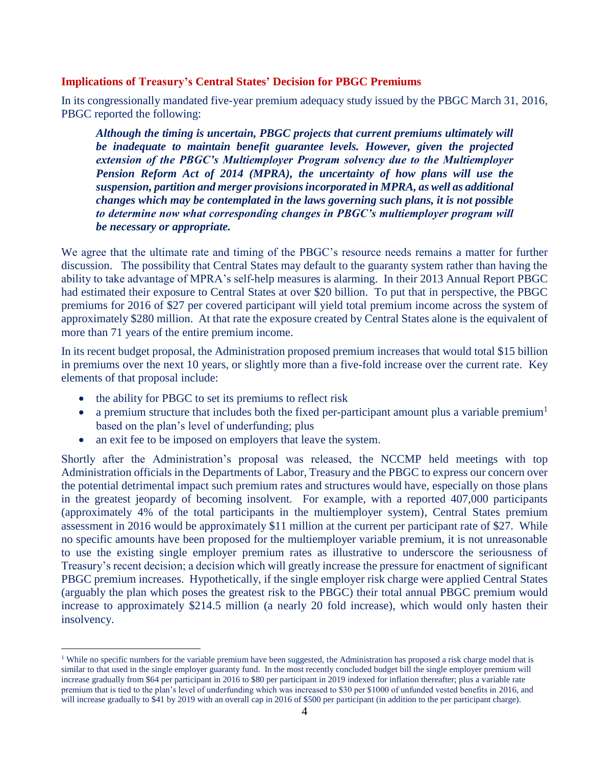## **Implications of Treasury's Central States' Decision for PBGC Premiums**

In its congressionally mandated five-year premium adequacy study issued by the PBGC March 31, 2016, PBGC reported the following:

*Although the timing is uncertain, PBGC projects that current premiums ultimately will be inadequate to maintain benefit guarantee levels. However, given the projected extension of the PBGC's Multiemployer Program solvency due to the Multiemployer Pension Reform Act of 2014 (MPRA), the uncertainty of how plans will use the suspension, partition and merger provisions incorporated in MPRA, as well as additional changes which may be contemplated in the laws governing such plans, it is not possible to determine now what corresponding changes in PBGC's multiemployer program will be necessary or appropriate.*

We agree that the ultimate rate and timing of the PBGC's resource needs remains a matter for further discussion. The possibility that Central States may default to the guaranty system rather than having the ability to take advantage of MPRA's self-help measures is alarming. In their 2013 Annual Report PBGC had estimated their exposure to Central States at over \$20 billion. To put that in perspective, the PBGC premiums for 2016 of \$27 per covered participant will yield total premium income across the system of approximately \$280 million. At that rate the exposure created by Central States alone is the equivalent of more than 71 years of the entire premium income.

In its recent budget proposal, the Administration proposed premium increases that would total \$15 billion in premiums over the next 10 years, or slightly more than a five-fold increase over the current rate. Key elements of that proposal include:

• the ability for PBGC to set its premiums to reflect risk

 $\overline{a}$ 

- a premium structure that includes both the fixed per-participant amount plus a variable premium<sup>1</sup> based on the plan's level of underfunding; plus
- an exit fee to be imposed on employers that leave the system.

Shortly after the Administration's proposal was released, the NCCMP held meetings with top Administration officials in the Departments of Labor, Treasury and the PBGC to express our concern over the potential detrimental impact such premium rates and structures would have, especially on those plans in the greatest jeopardy of becoming insolvent. For example, with a reported 407,000 participants (approximately 4% of the total participants in the multiemployer system), Central States premium assessment in 2016 would be approximately \$11 million at the current per participant rate of \$27. While no specific amounts have been proposed for the multiemployer variable premium, it is not unreasonable to use the existing single employer premium rates as illustrative to underscore the seriousness of Treasury's recent decision; a decision which will greatly increase the pressure for enactment of significant PBGC premium increases. Hypothetically, if the single employer risk charge were applied Central States (arguably the plan which poses the greatest risk to the PBGC) their total annual PBGC premium would increase to approximately \$214.5 million (a nearly 20 fold increase), which would only hasten their insolvency.

<sup>&</sup>lt;sup>1</sup> While no specific numbers for the variable premium have been suggested, the Administration has proposed a risk charge model that is similar to that used in the single employer guaranty fund. In the most recently concluded budget bill the single employer premium will increase gradually from \$64 per participant in 2016 to \$80 per participant in 2019 indexed for inflation thereafter; plus a variable rate premium that is tied to the plan's level of underfunding which was increased to \$30 per \$1000 of unfunded vested benefits in 2016, and will increase gradually to \$41 by 2019 with an overall cap in 2016 of \$500 per participant (in addition to the per participant charge).